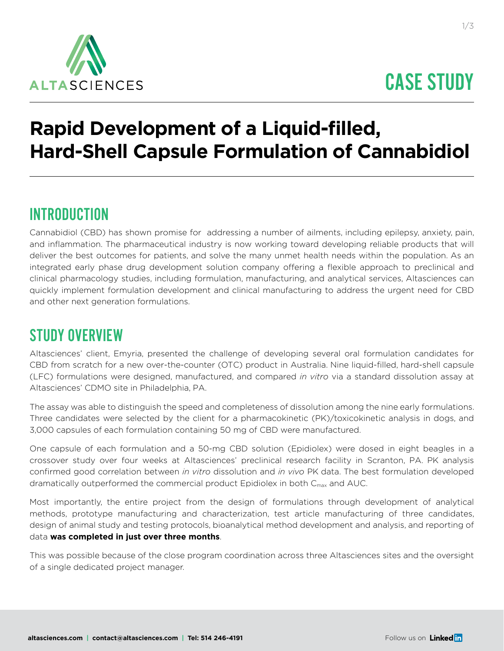

# CASE STUDY

## **Rapid Development of a Liquid-filled, Hard-Shell Capsule Formulation of Cannabidiol**

#### INTRODUCTION

Cannabidiol (CBD) has shown promise for addressing a number of ailments, including epilepsy, anxiety, pain, and inflammation. The pharmaceutical industry is now working toward developing reliable products that will deliver the best outcomes for patients, and solve the many unmet health needs within the population. As an integrated early phase drug development solution company offering a flexible approach to preclinical and clinical pharmacology studies, including formulation, manufacturing, and analytical services, Altasciences can quickly implement formulation development and clinical manufacturing to address the urgent need for CBD and other next generation formulations.

## STUDY OVERVIEW

Altasciences' client, Emyria, presented the challenge of developing several oral formulation candidates for CBD from scratch for a new over-the-counter (OTC) product in Australia. Nine liquid-filled, hard-shell capsule (LFC) formulations were designed, manufactured, and compared *in vitro* via a standard dissolution assay at Altasciences' CDMO site in Philadelphia, PA.

The assay was able to distinguish the speed and completeness of dissolution among the nine early formulations. Three candidates were selected by the client for a pharmacokinetic (PK)/toxicokinetic analysis in dogs, and 3,000 capsules of each formulation containing 50 mg of CBD were manufactured.

One capsule of each formulation and a 50-mg CBD solution (Epidiolex) were dosed in eight beagles in a crossover study over four weeks at Altasciences' preclinical research facility in Scranton, PA. PK analysis confirmed good correlation between *in vitro* dissolution and *in vivo* PK data. The best formulation developed dramatically outperformed the commercial product Epidiolex in both C<sub>max</sub> and AUC.

Most importantly, the entire project from the design of formulations through development of analytical methods, prototype manufacturing and characterization, test article manufacturing of three candidates, design of animal study and testing protocols, bioanalytical method development and analysis, and reporting of data **was completed in just over three months**.

This was possible because of the close program coordination across three Altasciences sites and the oversight of a single dedicated project manager.

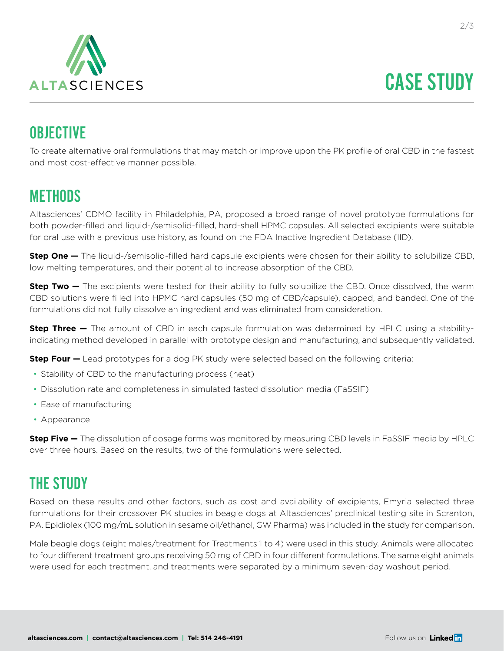

## **OBJECTIVE**

To create alternative oral formulations that may match or improve upon the PK profile of oral CBD in the fastest and most cost-effective manner possible.

#### **METHODS**

Altasciences' CDMO facility in Philadelphia, PA, proposed a broad range of novel prototype formulations for both powder-filled and liquid-/semisolid-filled, hard-shell HPMC capsules. All selected excipients were suitable for oral use with a previous use history, as found on the FDA Inactive Ingredient Database (IID).

**Step One —** The liquid-/semisolid-filled hard capsule excipients were chosen for their ability to solubilize CBD, low melting temperatures, and their potential to increase absorption of the CBD.

**Step Two —** The excipients were tested for their ability to fully solubilize the CBD. Once dissolved, the warm CBD solutions were filled into HPMC hard capsules (50 mg of CBD/capsule), capped, and banded. One of the formulations did not fully dissolve an ingredient and was eliminated from consideration.

**Step Three —** The amount of CBD in each capsule formulation was determined by HPLC using a stabilityindicating method developed in parallel with prototype design and manufacturing, and subsequently validated.

**Step Four –** Lead prototypes for a dog PK study were selected based on the following criteria:

- Stability of CBD to the manufacturing process (heat)
- Dissolution rate and completeness in simulated fasted dissolution media (FaSSIF)
- Ease of manufacturing
- Appearance

**Step Five —** The dissolution of dosage forms was monitored by measuring CBD levels in FaSSIF media by HPLC over three hours. Based on the results, two of the formulations were selected.

## THE STUDY

Based on these results and other factors, such as cost and availability of excipients, Emyria selected three formulations for their crossover PK studies in beagle dogs at Altasciences' preclinical testing site in Scranton, PA. Epidiolex (100 mg/mL solution in sesame oil/ethanol, GW Pharma) was included in the study for comparison.

Male beagle dogs (eight males/treatment for Treatments 1 to 4) were used in this study. Animals were allocated to four different treatment groups receiving 50 mg of CBD in four different formulations. The same eight animals were used for each treatment, and treatments were separated by a minimum seven-day washout period.